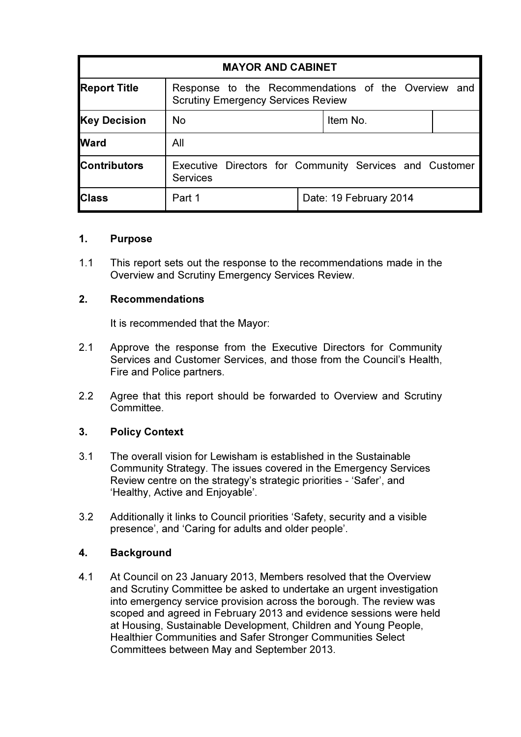| <b>MAYOR AND CABINET</b> |                                                                                                  |  |                        |  |
|--------------------------|--------------------------------------------------------------------------------------------------|--|------------------------|--|
| <b>Report Title</b>      | Response to the Recommendations of the Overview and<br><b>Scrutiny Emergency Services Review</b> |  |                        |  |
| <b>Key Decision</b>      | <b>No</b>                                                                                        |  | Item No.               |  |
| <b>Ward</b>              | All                                                                                              |  |                        |  |
| <b>Contributors</b>      | Executive Directors for Community Services and Customer<br><b>Services</b>                       |  |                        |  |
| <b>Class</b>             | Part 1                                                                                           |  | Date: 19 February 2014 |  |

## 1. Purpose

1.1 This report sets out the response to the recommendations made in the Overview and Scrutiny Emergency Services Review.

## 2. Recommendations

It is recommended that the Mayor:

- 2.1 Approve the response from the Executive Directors for Community Services and Customer Services, and those from the Council's Health, Fire and Police partners.
- 2.2 Agree that this report should be forwarded to Overview and Scrutiny Committee.

## 3. Policy Context

- 3.1 The overall vision for Lewisham is established in the Sustainable Community Strategy. The issues covered in the Emergency Services Review centre on the strategy's strategic priorities - 'Safer', and 'Healthy, Active and Enjoyable'.
- 3.2 Additionally it links to Council priorities 'Safety, security and a visible presence', and 'Caring for adults and older people'.

## 4. Background

4.1 At Council on 23 January 2013, Members resolved that the Overview and Scrutiny Committee be asked to undertake an urgent investigation into emergency service provision across the borough. The review was scoped and agreed in February 2013 and evidence sessions were held at Housing, Sustainable Development, Children and Young People, Healthier Communities and Safer Stronger Communities Select Committees between May and September 2013.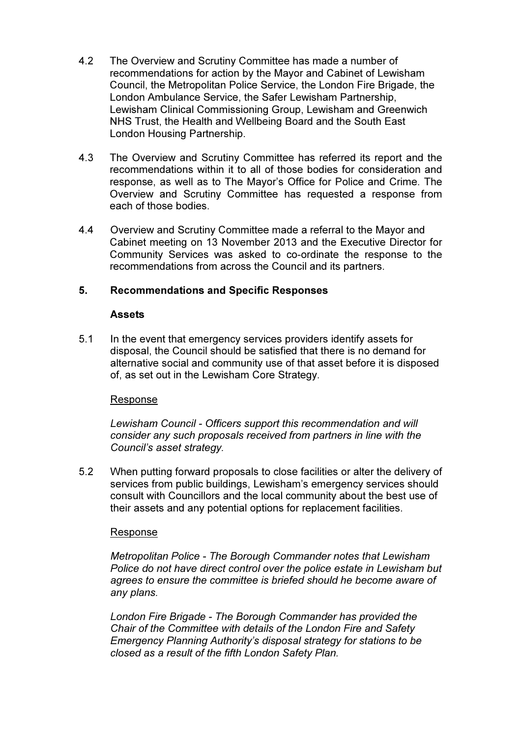- 4.2 The Overview and Scrutiny Committee has made a number of recommendations for action by the Mayor and Cabinet of Lewisham Council, the Metropolitan Police Service, the London Fire Brigade, the London Ambulance Service, the Safer Lewisham Partnership, Lewisham Clinical Commissioning Group, Lewisham and Greenwich NHS Trust, the Health and Wellbeing Board and the South East London Housing Partnership.
- 4.3 The Overview and Scrutiny Committee has referred its report and the recommendations within it to all of those bodies for consideration and response, as well as to The Mayor's Office for Police and Crime. The Overview and Scrutiny Committee has requested a response from each of those bodies.
- 4.4 Overview and Scrutiny Committee made a referral to the Mayor and Cabinet meeting on 13 November 2013 and the Executive Director for Community Services was asked to co-ordinate the response to the recommendations from across the Council and its partners.

## 5. Recommendations and Specific Responses

## **Assets**

5.1 In the event that emergency services providers identify assets for disposal, the Council should be satisfied that there is no demand for alternative social and community use of that asset before it is disposed of, as set out in the Lewisham Core Strategy.

## Response

Lewisham Council - Officers support this recommendation and will consider any such proposals received from partners in line with the Council's asset strategy.

5.2 When putting forward proposals to close facilities or alter the delivery of services from public buildings, Lewisham's emergency services should consult with Councillors and the local community about the best use of their assets and any potential options for replacement facilities.

## Response

Metropolitan Police - The Borough Commander notes that Lewisham Police do not have direct control over the police estate in Lewisham but agrees to ensure the committee is briefed should he become aware of any plans.

London Fire Brigade - The Borough Commander has provided the Chair of the Committee with details of the London Fire and Safety Emergency Planning Authority's disposal strategy for stations to be closed as a result of the fifth London Safety Plan.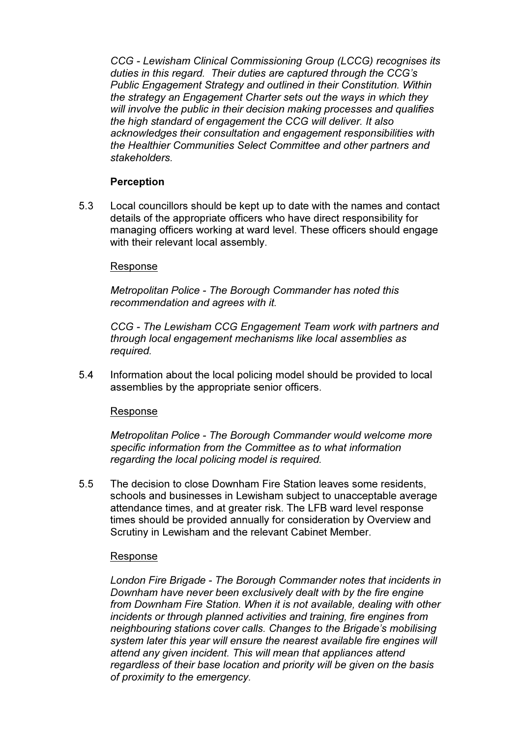CCG - Lewisham Clinical Commissioning Group (LCCG) recognises its duties in this regard. Their duties are captured through the CCG's Public Engagement Strategy and outlined in their Constitution. Within the strategy an Engagement Charter sets out the ways in which they will involve the public in their decision making processes and qualifies the high standard of engagement the CCG will deliver. It also acknowledges their consultation and engagement responsibilities with the Healthier Communities Select Committee and other partners and stakeholders.

## Perception

5.3 Local councillors should be kept up to date with the names and contact details of the appropriate officers who have direct responsibility for managing officers working at ward level. These officers should engage with their relevant local assembly.

### Response

Metropolitan Police - The Borough Commander has noted this recommendation and agrees with it.

CCG - The Lewisham CCG Engagement Team work with partners and through local engagement mechanisms like local assemblies as required.

5.4 Information about the local policing model should be provided to local assemblies by the appropriate senior officers.

## Response

 Metropolitan Police - The Borough Commander would welcome more specific information from the Committee as to what information regarding the local policing model is required.

5.5 The decision to close Downham Fire Station leaves some residents, schools and businesses in Lewisham subject to unacceptable average attendance times, and at greater risk. The LFB ward level response times should be provided annually for consideration by Overview and Scrutiny in Lewisham and the relevant Cabinet Member.

#### Response

London Fire Brigade - The Borough Commander notes that incidents in Downham have never been exclusively dealt with by the fire engine from Downham Fire Station. When it is not available, dealing with other incidents or through planned activities and training, fire engines from neighbouring stations cover calls. Changes to the Brigade's mobilising system later this year will ensure the nearest available fire engines will attend any given incident. This will mean that appliances attend regardless of their base location and priority will be given on the basis of proximity to the emergency.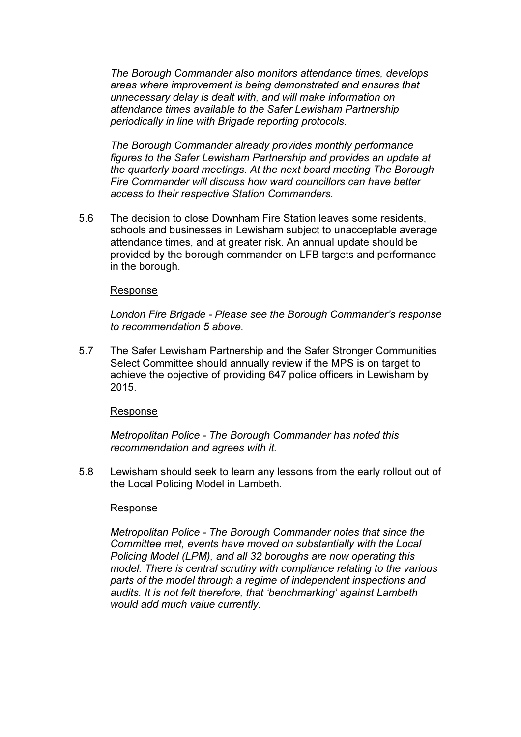The Borough Commander also monitors attendance times, develops areas where improvement is being demonstrated and ensures that unnecessary delay is dealt with, and will make information on attendance times available to the Safer Lewisham Partnership periodically in line with Brigade reporting protocols.

The Borough Commander already provides monthly performance figures to the Safer Lewisham Partnership and provides an update at the quarterly board meetings. At the next board meeting The Borough Fire Commander will discuss how ward councillors can have better access to their respective Station Commanders.

5.6 The decision to close Downham Fire Station leaves some residents, schools and businesses in Lewisham subject to unacceptable average attendance times, and at greater risk. An annual update should be provided by the borough commander on LFB targets and performance in the borough.

### Response

 London Fire Brigade - Please see the Borough Commander's response to recommendation 5 above.

5.7 The Safer Lewisham Partnership and the Safer Stronger Communities Select Committee should annually review if the MPS is on target to achieve the objective of providing 647 police officers in Lewisham by 2015.

#### Response

 Metropolitan Police - The Borough Commander has noted this recommendation and agrees with it.

5.8 Lewisham should seek to learn any lessons from the early rollout out of the Local Policing Model in Lambeth.

#### Response

 Metropolitan Police - The Borough Commander notes that since the Committee met, events have moved on substantially with the Local Policing Model (LPM), and all 32 boroughs are now operating this model. There is central scrutiny with compliance relating to the various parts of the model through a regime of independent inspections and audits. It is not felt therefore, that 'benchmarking' against Lambeth would add much value currently.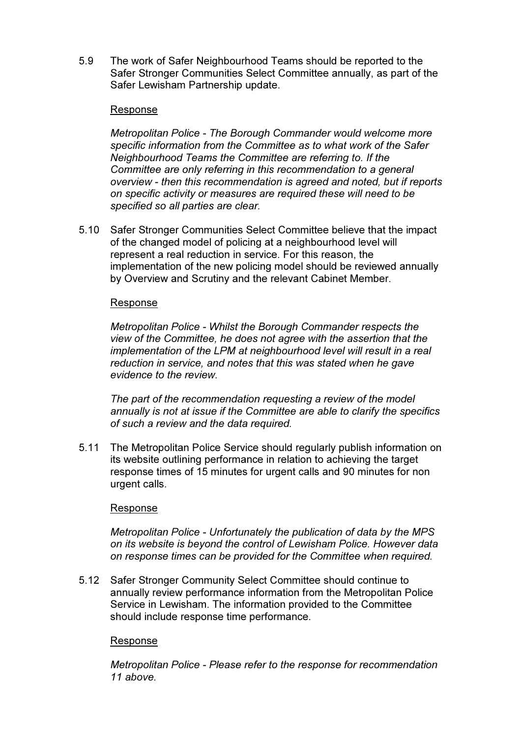5.9 The work of Safer Neighbourhood Teams should be reported to the Safer Stronger Communities Select Committee annually, as part of the Safer Lewisham Partnership update.

### Response

 Metropolitan Police - The Borough Commander would welcome more specific information from the Committee as to what work of the Safer Neighbourhood Teams the Committee are referring to. If the Committee are only referring in this recommendation to a general overview - then this recommendation is agreed and noted, but if reports on specific activity or measures are required these will need to be specified so all parties are clear.

5.10 Safer Stronger Communities Select Committee believe that the impact of the changed model of policing at a neighbourhood level will represent a real reduction in service. For this reason, the implementation of the new policing model should be reviewed annually by Overview and Scrutiny and the relevant Cabinet Member.

### Response

 Metropolitan Police - Whilst the Borough Commander respects the view of the Committee, he does not agree with the assertion that the implementation of the LPM at neighbourhood level will result in a real reduction in service, and notes that this was stated when he gave evidence to the review.

 The part of the recommendation requesting a review of the model annually is not at issue if the Committee are able to clarify the specifics of such a review and the data required.

5.11 The Metropolitan Police Service should regularly publish information on its website outlining performance in relation to achieving the target response times of 15 minutes for urgent calls and 90 minutes for non urgent calls.

#### Response

 Metropolitan Police - Unfortunately the publication of data by the MPS on its website is beyond the control of Lewisham Police. However data on response times can be provided for the Committee when required.

5.12 Safer Stronger Community Select Committee should continue to annually review performance information from the Metropolitan Police Service in Lewisham. The information provided to the Committee should include response time performance.

## Response

 Metropolitan Police - Please refer to the response for recommendation 11 above.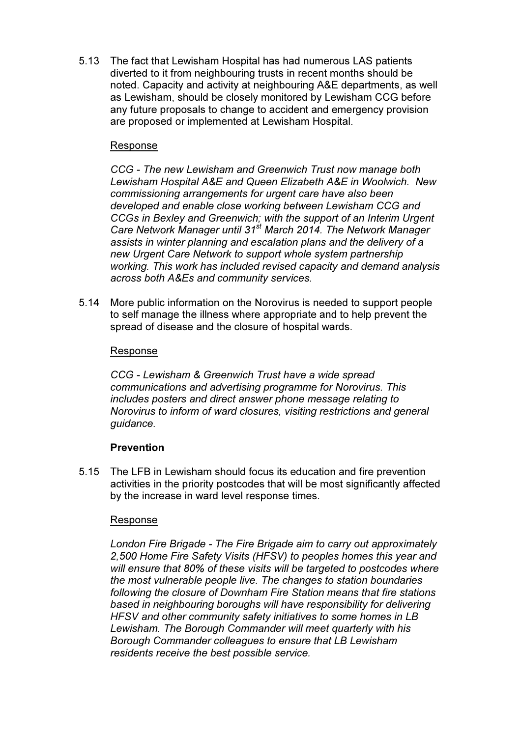5.13 The fact that Lewisham Hospital has had numerous LAS patients diverted to it from neighbouring trusts in recent months should be noted. Capacity and activity at neighbouring A&E departments, as well as Lewisham, should be closely monitored by Lewisham CCG before any future proposals to change to accident and emergency provision are proposed or implemented at Lewisham Hospital.

## Response

CCG - The new Lewisham and Greenwich Trust now manage both Lewisham Hospital A&E and Queen Elizabeth A&E in Woolwich. New commissioning arrangements for urgent care have also been developed and enable close working between Lewisham CCG and CCGs in Bexley and Greenwich; with the support of an Interim Urgent Care Network Manager until 31<sup>st</sup> March 2014. The Network Manager assists in winter planning and escalation plans and the delivery of a new Urgent Care Network to support whole system partnership working. This work has included revised capacity and demand analysis across both A&Es and community services.

5.14 More public information on the Norovirus is needed to support people to self manage the illness where appropriate and to help prevent the spread of disease and the closure of hospital wards.

## Response

CCG - Lewisham & Greenwich Trust have a wide spread communications and advertising programme for Norovirus. This includes posters and direct answer phone message relating to Norovirus to inform of ward closures, visiting restrictions and general guidance.

## **Prevention**

5.15 The LFB in Lewisham should focus its education and fire prevention activities in the priority postcodes that will be most significantly affected by the increase in ward level response times.

## Response

London Fire Brigade - The Fire Brigade aim to carry out approximately 2,500 Home Fire Safety Visits (HFSV) to peoples homes this year and will ensure that 80% of these visits will be targeted to postcodes where the most vulnerable people live. The changes to station boundaries following the closure of Downham Fire Station means that fire stations based in neighbouring boroughs will have responsibility for delivering HFSV and other community safety initiatives to some homes in LB Lewisham. The Borough Commander will meet quarterly with his Borough Commander colleagues to ensure that LB Lewisham residents receive the best possible service.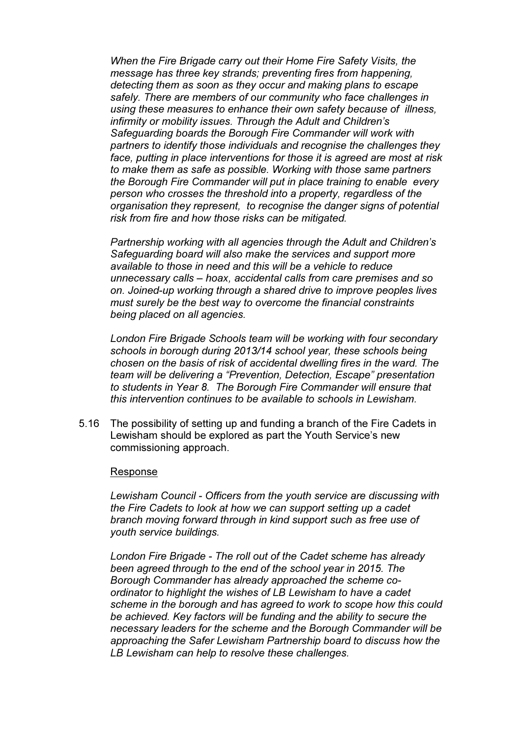When the Fire Brigade carry out their Home Fire Safety Visits, the message has three key strands; preventing fires from happening, detecting them as soon as they occur and making plans to escape safely. There are members of our community who face challenges in using these measures to enhance their own safety because of illness, infirmity or mobility issues. Through the Adult and Children's Safeguarding boards the Borough Fire Commander will work with partners to identify those individuals and recognise the challenges they face, putting in place interventions for those it is agreed are most at risk to make them as safe as possible. Working with those same partners the Borough Fire Commander will put in place training to enable every person who crosses the threshold into a property, regardless of the organisation they represent, to recognise the danger signs of potential risk from fire and how those risks can be mitigated.

Partnership working with all agencies through the Adult and Children's Safeguarding board will also make the services and support more available to those in need and this will be a vehicle to reduce unnecessary calls – hoax, accidental calls from care premises and so on. Joined-up working through a shared drive to improve peoples lives must surely be the best way to overcome the financial constraints being placed on all agencies.

London Fire Brigade Schools team will be working with four secondary schools in borough during 2013/14 school year, these schools being chosen on the basis of risk of accidental dwelling fires in the ward. The team will be delivering a "Prevention, Detection, Escape" presentation to students in Year 8. The Borough Fire Commander will ensure that this intervention continues to be available to schools in Lewisham.

5.16 The possibility of setting up and funding a branch of the Fire Cadets in Lewisham should be explored as part the Youth Service's new commissioning approach.

#### Response

 Lewisham Council - Officers from the youth service are discussing with the Fire Cadets to look at how we can support setting up a cadet branch moving forward through in kind support such as free use of youth service buildings.

London Fire Brigade - The roll out of the Cadet scheme has already been agreed through to the end of the school year in 2015. The Borough Commander has already approached the scheme coordinator to highlight the wishes of LB Lewisham to have a cadet scheme in the borough and has agreed to work to scope how this could be achieved. Key factors will be funding and the ability to secure the necessary leaders for the scheme and the Borough Commander will be approaching the Safer Lewisham Partnership board to discuss how the LB Lewisham can help to resolve these challenges.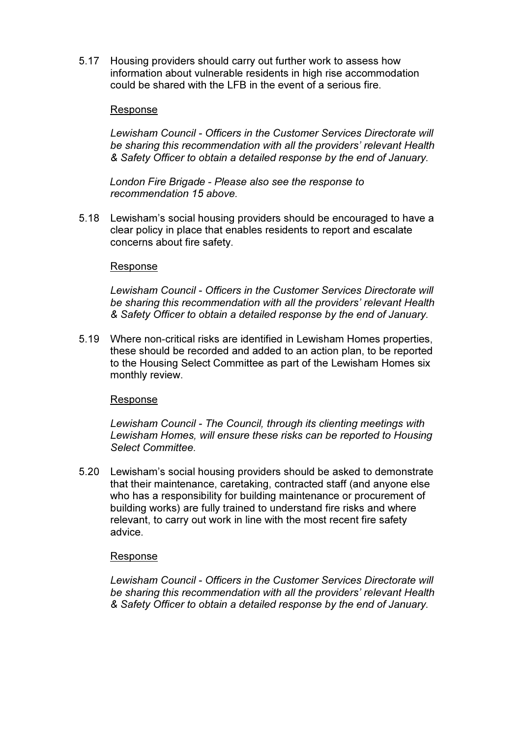5.17 Housing providers should carry out further work to assess how information about vulnerable residents in high rise accommodation could be shared with the LFB in the event of a serious fire.

### Response

Lewisham Council - Officers in the Customer Services Directorate will be sharing this recommendation with all the providers' relevant Health & Safety Officer to obtain a detailed response by the end of January.

London Fire Brigade - Please also see the response to recommendation 15 above.

5.18 Lewisham's social housing providers should be encouraged to have a clear policy in place that enables residents to report and escalate concerns about fire safety.

#### Response

Lewisham Council - Officers in the Customer Services Directorate will be sharing this recommendation with all the providers' relevant Health & Safety Officer to obtain a detailed response by the end of January.

5.19 Where non-critical risks are identified in Lewisham Homes properties, these should be recorded and added to an action plan, to be reported to the Housing Select Committee as part of the Lewisham Homes six monthly review.

#### Response

Lewisham Council - The Council, through its clienting meetings with Lewisham Homes, will ensure these risks can be reported to Housing Select Committee.

5.20 Lewisham's social housing providers should be asked to demonstrate that their maintenance, caretaking, contracted staff (and anyone else who has a responsibility for building maintenance or procurement of building works) are fully trained to understand fire risks and where relevant, to carry out work in line with the most recent fire safety advice.

#### Response

Lewisham Council - Officers in the Customer Services Directorate will be sharing this recommendation with all the providers' relevant Health & Safety Officer to obtain a detailed response by the end of January.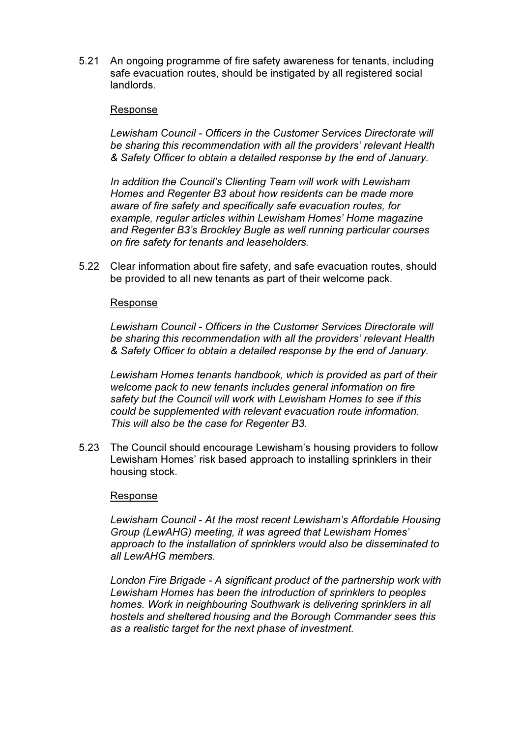5.21 An ongoing programme of fire safety awareness for tenants, including safe evacuation routes, should be instigated by all registered social landlords.

#### Response

Lewisham Council - Officers in the Customer Services Directorate will be sharing this recommendation with all the providers' relevant Health & Safety Officer to obtain a detailed response by the end of January.

 In addition the Council's Clienting Team will work with Lewisham Homes and Regenter B3 about how residents can be made more aware of fire safety and specifically safe evacuation routes, for example, regular articles within Lewisham Homes' Home magazine and Regenter B3's Brockley Bugle as well running particular courses on fire safety for tenants and leaseholders.

5.22 Clear information about fire safety, and safe evacuation routes, should be provided to all new tenants as part of their welcome pack.

#### Response

Lewisham Council - Officers in the Customer Services Directorate will be sharing this recommendation with all the providers' relevant Health & Safety Officer to obtain a detailed response by the end of January.

Lewisham Homes tenants handbook, which is provided as part of their welcome pack to new tenants includes general information on fire safety but the Council will work with Lewisham Homes to see if this could be supplemented with relevant evacuation route information. This will also be the case for Regenter B3.

5.23 The Council should encourage Lewisham's housing providers to follow Lewisham Homes' risk based approach to installing sprinklers in their housing stock.

#### Response

Lewisham Council - At the most recent Lewisham's Affordable Housing Group (LewAHG) meeting, it was agreed that Lewisham Homes' approach to the installation of sprinklers would also be disseminated to all LewAHG members.

London Fire Brigade - A significant product of the partnership work with Lewisham Homes has been the introduction of sprinklers to peoples homes. Work in neighbouring Southwark is delivering sprinklers in all hostels and sheltered housing and the Borough Commander sees this as a realistic target for the next phase of investment.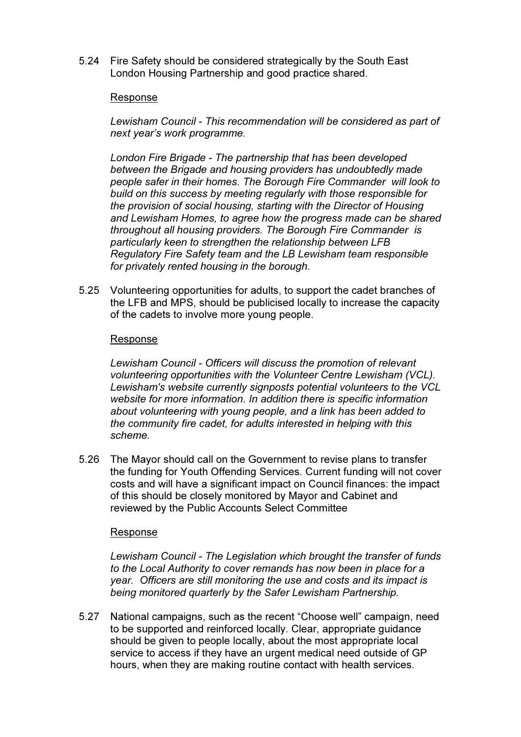5.24 Fire Safety should be considered strategically by the South East London Housing Partnership and good practice shared.

#### Response

 Lewisham Council - This recommendation will be considered as part of next year's work programme.

London Fire Brigade - The partnership that has been developed between the Brigade and housing providers has undoubtedly made people safer in their homes. The Borough Fire Commander will look to build on this success by meeting regularly with those responsible for the provision of social housing, starting with the Director of Housing and Lewisham Homes, to agree how the progress made can be shared throughout all housing providers. The Borough Fire Commander is particularly keen to strengthen the relationship between LFB Regulatory Fire Safety team and the LB Lewisham team responsible for privately rented housing in the borough.

5.25 Volunteering opportunities for adults, to support the cadet branches of the LFB and MPS, should be publicised locally to increase the capacity of the cadets to involve more young people.

#### Response

Lewisham Council - Officers will discuss the promotion of relevant volunteering opportunities with the Volunteer Centre Lewisham (VCL). Lewisham's website currently signposts potential volunteers to the VCL website for more information. In addition there is specific information about volunteering with young people, and a link has been added to the community fire cadet, for adults interested in helping with this scheme.

5.26 The Mayor should call on the Government to revise plans to transfer the funding for Youth Offending Services. Current funding will not cover costs and will have a significant impact on Council finances: the impact of this should be closely monitored by Mayor and Cabinet and reviewed by the Public Accounts Select Committee

#### Response

Lewisham Council - The Legislation which brought the transfer of funds to the Local Authority to cover remands has now been in place for a year. Officers are still monitoring the use and costs and its impact is being monitored quarterly by the Safer Lewisham Partnership.

5.27 National campaigns, such as the recent "Choose well" campaign, need to be supported and reinforced locally. Clear, appropriate guidance should be given to people locally, about the most appropriate local service to access if they have an urgent medical need outside of GP hours, when they are making routine contact with health services.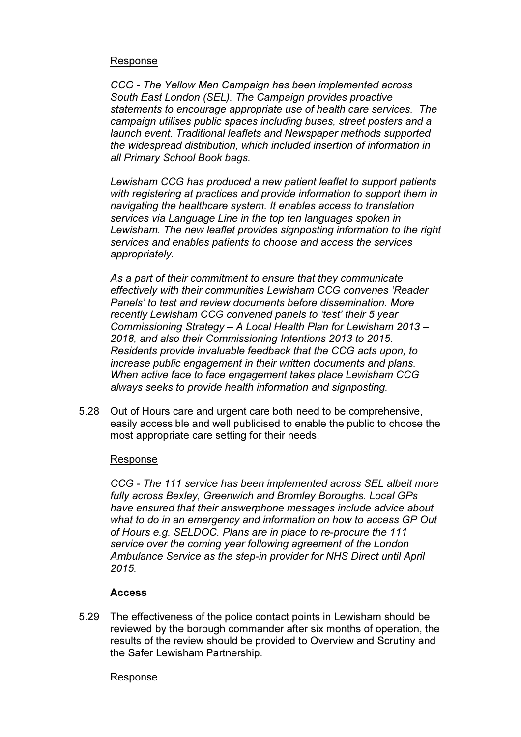## Response

 CCG - The Yellow Men Campaign has been implemented across South East London (SEL). The Campaign provides proactive statements to encourage appropriate use of health care services. The campaign utilises public spaces including buses, street posters and a launch event. Traditional leaflets and Newspaper methods supported the widespread distribution, which included insertion of information in all Primary School Book bags.

Lewisham CCG has produced a new patient leaflet to support patients with registering at practices and provide information to support them in navigating the healthcare system. It enables access to translation services via Language Line in the top ten languages spoken in Lewisham. The new leaflet provides signposting information to the right services and enables patients to choose and access the services appropriately.

As a part of their commitment to ensure that they communicate effectively with their communities Lewisham CCG convenes 'Reader Panels' to test and review documents before dissemination. More recently Lewisham CCG convened panels to 'test' their 5 year Commissioning Strategy – A Local Health Plan for Lewisham 2013 – 2018, and also their Commissioning Intentions 2013 to 2015. Residents provide invaluable feedback that the CCG acts upon, to increase public engagement in their written documents and plans. When active face to face engagement takes place Lewisham CCG always seeks to provide health information and signposting.

5.28 Out of Hours care and urgent care both need to be comprehensive, easily accessible and well publicised to enable the public to choose the most appropriate care setting for their needs.

## Response

CCG - The 111 service has been implemented across SEL albeit more fully across Bexley, Greenwich and Bromley Boroughs. Local GPs have ensured that their answerphone messages include advice about what to do in an emergency and information on how to access GP Out of Hours e.g. SELDOC. Plans are in place to re-procure the 111 service over the coming year following agreement of the London Ambulance Service as the step-in provider for NHS Direct until April 2015.

## **Access**

5.29 The effectiveness of the police contact points in Lewisham should be reviewed by the borough commander after six months of operation, the results of the review should be provided to Overview and Scrutiny and the Safer Lewisham Partnership.

#### Response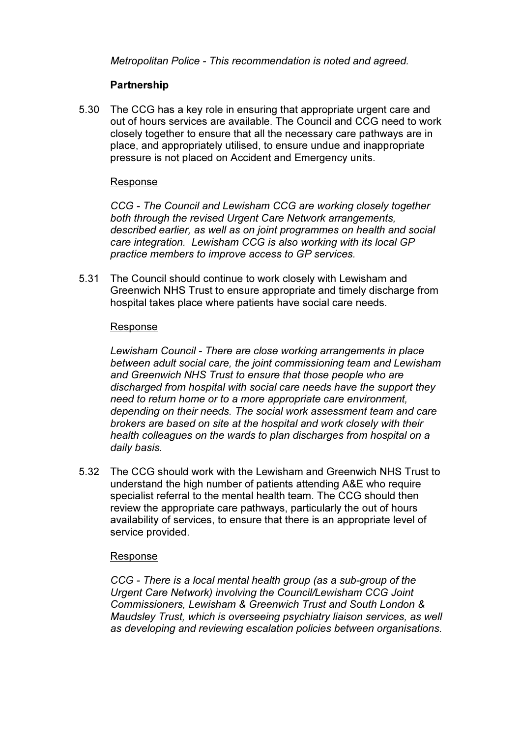Metropolitan Police - This recommendation is noted and agreed.

# **Partnership**

5.30 The CCG has a key role in ensuring that appropriate urgent care and out of hours services are available. The Council and CCG need to work closely together to ensure that all the necessary care pathways are in place, and appropriately utilised, to ensure undue and inappropriate pressure is not placed on Accident and Emergency units.

## Response

 CCG - The Council and Lewisham CCG are working closely together both through the revised Urgent Care Network arrangements, described earlier, as well as on joint programmes on health and social care integration. Lewisham CCG is also working with its local GP practice members to improve access to GP services.

5.31 The Council should continue to work closely with Lewisham and Greenwich NHS Trust to ensure appropriate and timely discharge from hospital takes place where patients have social care needs.

## Response

Lewisham Council - There are close working arrangements in place between adult social care, the joint commissioning team and Lewisham and Greenwich NHS Trust to ensure that those people who are discharged from hospital with social care needs have the support they need to return home or to a more appropriate care environment, depending on their needs. The social work assessment team and care brokers are based on site at the hospital and work closely with their health colleagues on the wards to plan discharges from hospital on a daily basis.

5.32 The CCG should work with the Lewisham and Greenwich NHS Trust to understand the high number of patients attending A&E who require specialist referral to the mental health team. The CCG should then review the appropriate care pathways, particularly the out of hours availability of services, to ensure that there is an appropriate level of service provided.

## Response

 CCG - There is a local mental health group (as a sub-group of the Urgent Care Network) involving the Council/Lewisham CCG Joint Commissioners, Lewisham & Greenwich Trust and South London & Maudsley Trust, which is overseeing psychiatry liaison services, as well as developing and reviewing escalation policies between organisations.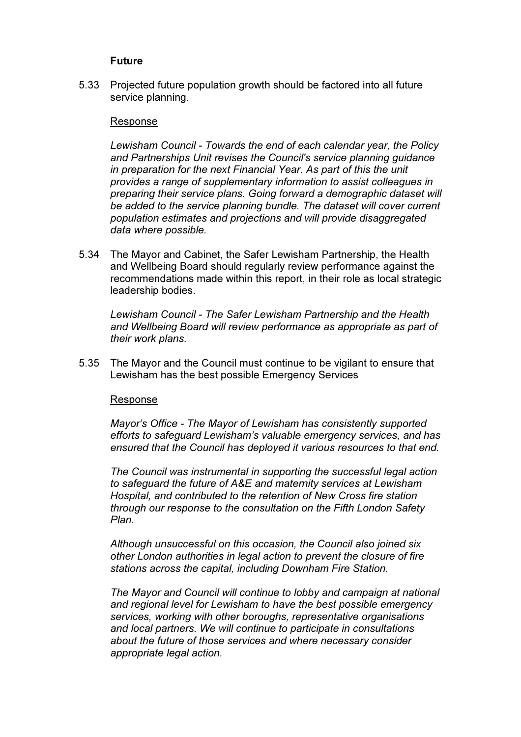### Future

5.33 Projected future population growth should be factored into all future service planning.

#### Response

 Lewisham Council - Towards the end of each calendar year, the Policy and Partnerships Unit revises the Council's service planning guidance in preparation for the next Financial Year. As part of this the unit provides a range of supplementary information to assist colleagues in preparing their service plans. Going forward a demographic dataset will be added to the service planning bundle. The dataset will cover current population estimates and projections and will provide disaggregated data where possible.

5.34 The Mayor and Cabinet, the Safer Lewisham Partnership, the Health and Wellbeing Board should regularly review performance against the recommendations made within this report, in their role as local strategic leadership bodies.

 Lewisham Council - The Safer Lewisham Partnership and the Health and Wellbeing Board will review performance as appropriate as part of their work plans.

5.35 The Mayor and the Council must continue to be vigilant to ensure that Lewisham has the best possible Emergency Services

#### Response

Mayor's Office - The Mayor of Lewisham has consistently supported efforts to safeguard Lewisham's valuable emergency services, and has ensured that the Council has deployed it various resources to that end.

The Council was instrumental in supporting the successful legal action to safeguard the future of A&E and maternity services at Lewisham Hospital, and contributed to the retention of New Cross fire station through our response to the consultation on the Fifth London Safety Plan.

Although unsuccessful on this occasion, the Council also joined six other London authorities in legal action to prevent the closure of fire stations across the capital, including Downham Fire Station.

The Mayor and Council will continue to lobby and campaign at national and regional level for Lewisham to have the best possible emergency services, working with other boroughs, representative organisations and local partners. We will continue to participate in consultations about the future of those services and where necessary consider appropriate legal action.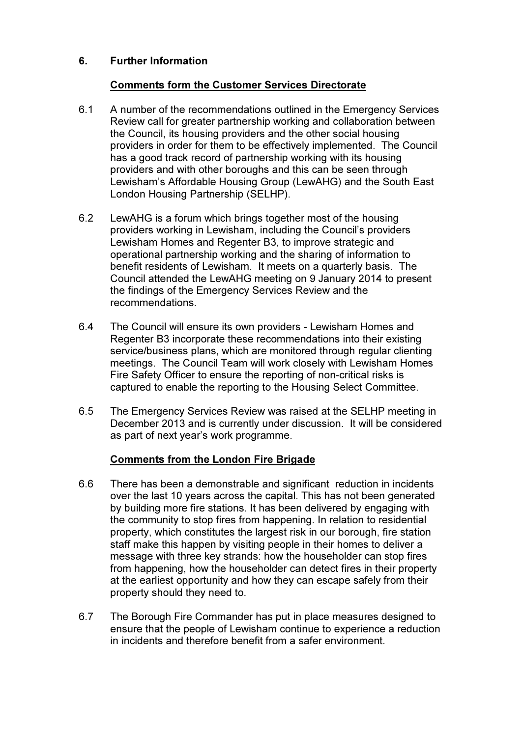# 6. Further Information

# Comments form the Customer Services Directorate

- 6.1 A number of the recommendations outlined in the Emergency Services Review call for greater partnership working and collaboration between the Council, its housing providers and the other social housing providers in order for them to be effectively implemented. The Council has a good track record of partnership working with its housing providers and with other boroughs and this can be seen through Lewisham's Affordable Housing Group (LewAHG) and the South East London Housing Partnership (SELHP).
- 6.2 LewAHG is a forum which brings together most of the housing providers working in Lewisham, including the Council's providers Lewisham Homes and Regenter B3, to improve strategic and operational partnership working and the sharing of information to benefit residents of Lewisham. It meets on a quarterly basis. The Council attended the LewAHG meeting on 9 January 2014 to present the findings of the Emergency Services Review and the recommendations.
- 6.4 The Council will ensure its own providers Lewisham Homes and Regenter B3 incorporate these recommendations into their existing service/business plans, which are monitored through regular clienting meetings. The Council Team will work closely with Lewisham Homes Fire Safety Officer to ensure the reporting of non-critical risks is captured to enable the reporting to the Housing Select Committee.
- 6.5 The Emergency Services Review was raised at the SELHP meeting in December 2013 and is currently under discussion. It will be considered as part of next year's work programme.

# Comments from the London Fire Brigade

- 6.6 There has been a demonstrable and significant reduction in incidents over the last 10 years across the capital. This has not been generated by building more fire stations. It has been delivered by engaging with the community to stop fires from happening. In relation to residential property, which constitutes the largest risk in our borough, fire station staff make this happen by visiting people in their homes to deliver a message with three key strands: how the householder can stop fires from happening, how the householder can detect fires in their property at the earliest opportunity and how they can escape safely from their property should they need to.
- 6.7 The Borough Fire Commander has put in place measures designed to ensure that the people of Lewisham continue to experience a reduction in incidents and therefore benefit from a safer environment.